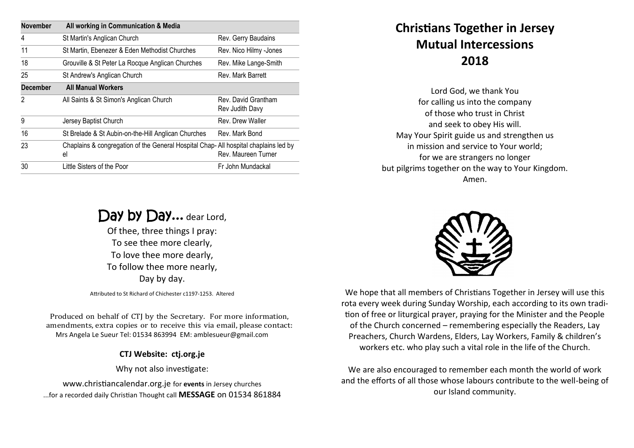| <b>November</b> | All working in Communication & Media                                                      |                                        |
|-----------------|-------------------------------------------------------------------------------------------|----------------------------------------|
| 4               | St Martin's Anglican Church                                                               | Rev. Gerry Baudains                    |
| 11              | St Martin, Ebenezer & Eden Methodist Churches                                             | Rev. Nico Hilmy -Jones                 |
| 18              | Grouville & St Peter La Rocque Anglican Churches                                          | Rev. Mike Lange-Smith                  |
| 25              | St Andrew's Anglican Church                                                               | Rev. Mark Barrett                      |
| <b>December</b> | <b>All Manual Workers</b>                                                                 |                                        |
| $\mathfrak{p}$  | All Saints & St Simon's Anglican Church                                                   | Rev. David Grantham<br>Rev Judith Davy |
| 9               | Jersey Baptist Church                                                                     | Rev. Drew Waller                       |
| 16              | St Brelade & St Aubin-on-the-Hill Anglican Churches                                       | Rev. Mark Bond                         |
| 23              | Chaplains & congregation of the General Hospital Chap-All hospital chaplains led by<br>el | Rev. Maureen Turner                    |
| 30              | Little Sisters of the Poor                                                                | Fr John Mundackal                      |
|                 |                                                                                           |                                        |

## Day by Day... dear Lord,

Of thee, three things I pray: To see thee more clearly, To love thee more dearly, To follow thee more nearly, Day by day.

Attributed to St Richard of Chichester c1197-1253. Altered

Produced on behalf of CTJ by the Secretary. For more information, amendments, extra copies or to receive this via email, please contact: Mrs Angela Le Sueur Tel: 01534 863994 EM: amblesueur@gmail.com

## **CTJ Website: ctj.org.je**

Why not also investigate:

www.christiancalendar.org.je for **events** in Jersey churches ...for a recorded daily Christian Thought call **MESSAGE** on 01534 861884

## **Christians Together in Jersey Mutual Intercessions 2018**

Lord God, we thank You for calling us into the company of those who trust in Christ and seek to obey His will. May Your Spirit guide us and strengthen us in mission and service to Your world; for we are strangers no longer but pilgrims together on the way to Your Kingdom. Amen.



We hope that all members of Christians Together in Jersey will use this rota every week during Sunday Worship, each according to its own tradition of free or liturgical prayer, praying for the Minister and the People of the Church concerned – remembering especially the Readers, Lay Preachers, Church Wardens, Elders, Lay Workers, Family & children's workers etc. who play such a vital role in the life of the Church.

We are also encouraged to remember each month the world of work and the efforts of all those whose labours contribute to the well-being of our Island community.